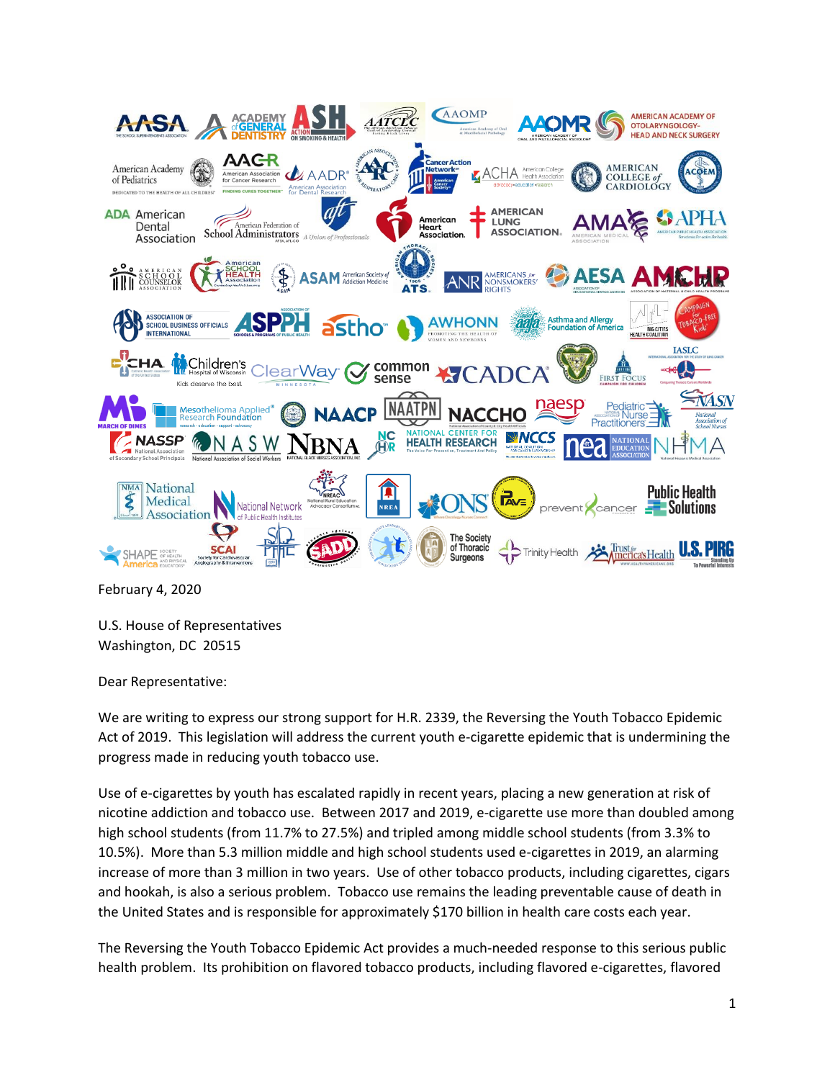

February 4, 2020

U.S. House of Representatives Washington, DC 20515

Dear Representative:

We are writing to express our strong support for H.R. 2339, the Reversing the Youth Tobacco Epidemic Act of 2019. This legislation will address the current youth e-cigarette epidemic that is undermining the progress made in reducing youth tobacco use.

Use of e-cigarettes by youth has escalated rapidly in recent years, placing a new generation at risk of nicotine addiction and tobacco use. Between 2017 and 2019, e-cigarette use more than doubled among high school students (from 11.7% to 27.5%) and tripled among middle school students (from 3.3% to 10.5%). More than 5.3 million middle and high school students used e-cigarettes in 2019, an alarming increase of more than 3 million in two years. Use of other tobacco products, including cigarettes, cigars and hookah, is also a serious problem. Tobacco use remains the leading preventable cause of death in the United States and is responsible for approximately \$170 billion in health care costs each year.

The Reversing the Youth Tobacco Epidemic Act provides a much-needed response to this serious public health problem. Its prohibition on flavored tobacco products, including flavored e-cigarettes, flavored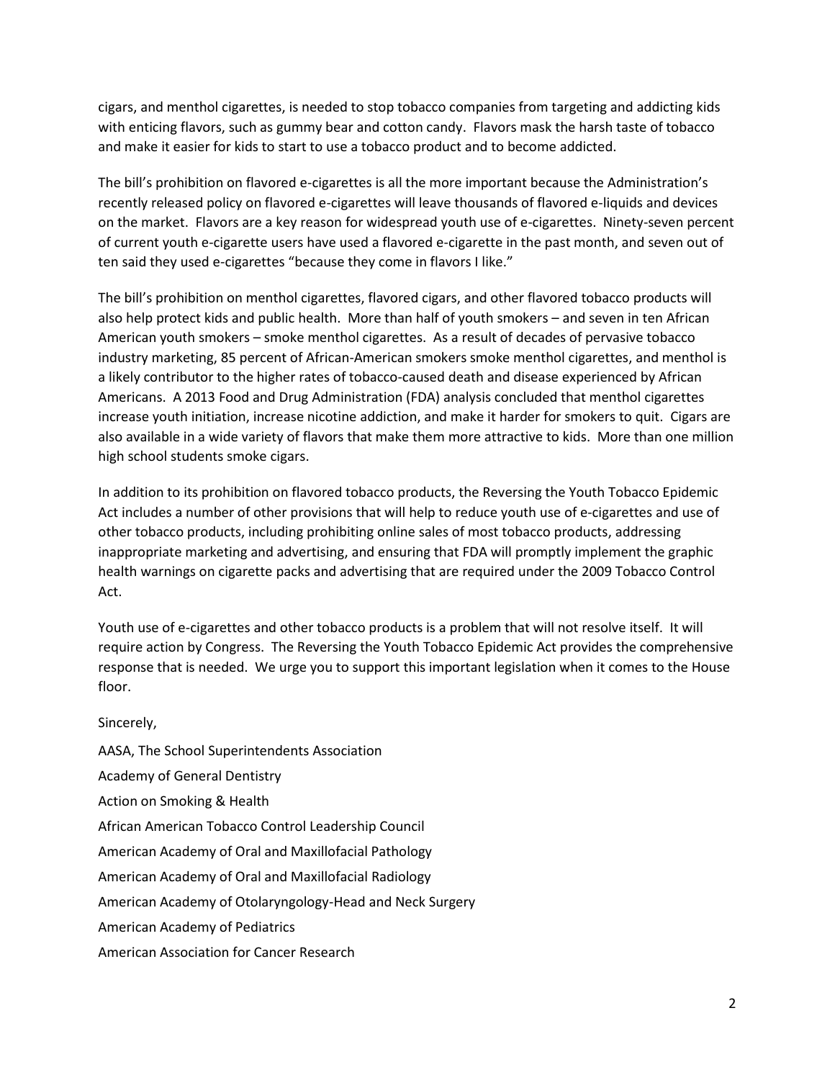cigars, and menthol cigarettes, is needed to stop tobacco companies from targeting and addicting kids with enticing flavors, such as gummy bear and cotton candy. Flavors mask the harsh taste of tobacco and make it easier for kids to start to use a tobacco product and to become addicted.

The bill's prohibition on flavored e-cigarettes is all the more important because the Administration's recently released policy on flavored e-cigarettes will leave thousands of flavored e-liquids and devices on the market. Flavors are a key reason for widespread youth use of e-cigarettes. Ninety-seven percent of current youth e-cigarette users have used a flavored e-cigarette in the past month, and seven out of ten said they used e-cigarettes "because they come in flavors I like."

The bill's prohibition on menthol cigarettes, flavored cigars, and other flavored tobacco products will also help protect kids and public health. More than half of youth smokers – and seven in ten African American youth smokers – smoke menthol cigarettes. As a result of decades of pervasive tobacco industry marketing, 85 percent of African-American smokers smoke menthol cigarettes, and menthol is a likely contributor to the higher rates of tobacco-caused death and disease experienced by African Americans. A 2013 Food and Drug Administration (FDA) analysis concluded that menthol cigarettes increase youth initiation, increase nicotine addiction, and make it harder for smokers to quit. Cigars are also available in a wide variety of flavors that make them more attractive to kids. More than one million high school students smoke cigars.

In addition to its prohibition on flavored tobacco products, the Reversing the Youth Tobacco Epidemic Act includes a number of other provisions that will help to reduce youth use of e-cigarettes and use of other tobacco products, including prohibiting online sales of most tobacco products, addressing inappropriate marketing and advertising, and ensuring that FDA will promptly implement the graphic health warnings on cigarette packs and advertising that are required under the 2009 Tobacco Control Act.

Youth use of e-cigarettes and other tobacco products is a problem that will not resolve itself. It will require action by Congress. The Reversing the Youth Tobacco Epidemic Act provides the comprehensive response that is needed. We urge you to support this important legislation when it comes to the House floor.

Sincerely,

AASA, The School Superintendents Association Academy of General Dentistry Action on Smoking & Health African American Tobacco Control Leadership Council American Academy of Oral and Maxillofacial Pathology American Academy of Oral and Maxillofacial Radiology American Academy of Otolaryngology-Head and Neck Surgery American Academy of Pediatrics American Association for Cancer Research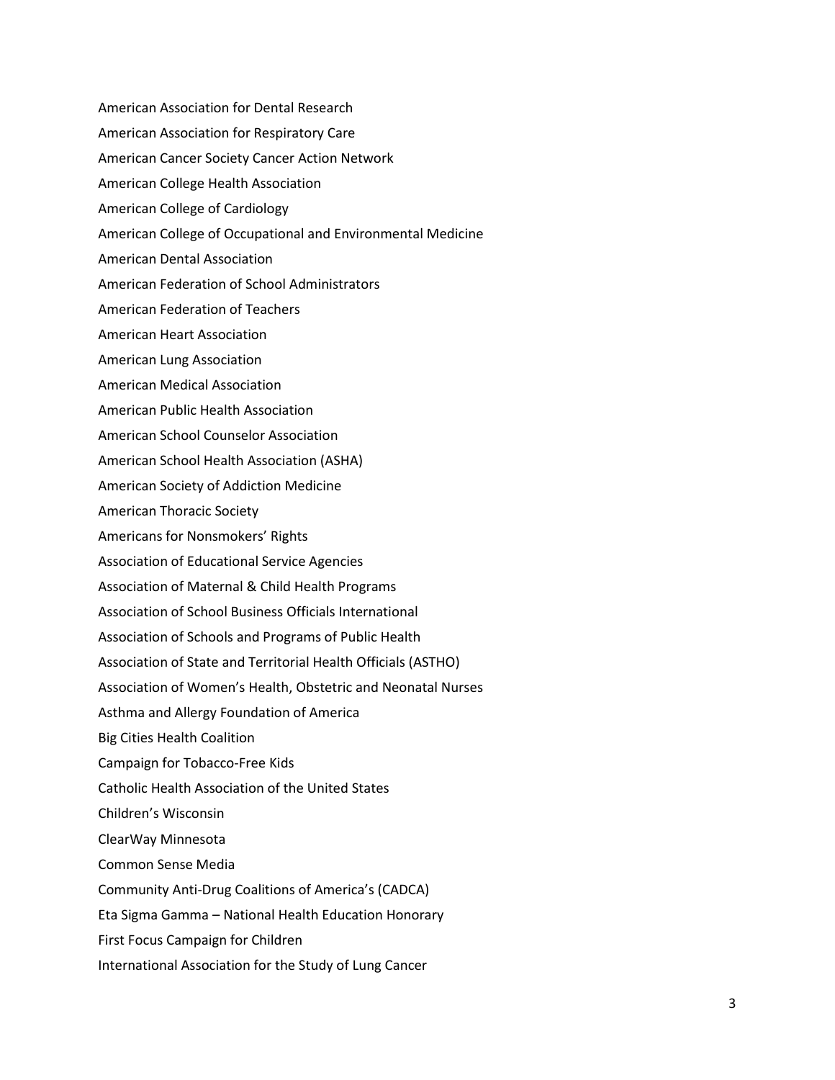American Association for Dental Research American Association for Respiratory Care American Cancer Society Cancer Action Network American College Health Association American College of Cardiology American College of Occupational and Environmental Medicine American Dental Association American Federation of School Administrators American Federation of Teachers American Heart Association American Lung Association American Medical Association American Public Health Association American School Counselor Association American School Health Association (ASHA) American Society of Addiction Medicine American Thoracic Society Americans for Nonsmokers' Rights Association of Educational Service Agencies Association of Maternal & Child Health Programs Association of School Business Officials International Association of Schools and Programs of Public Health Association of State and Territorial Health Officials (ASTHO) Association of Women's Health, Obstetric and Neonatal Nurses Asthma and Allergy Foundation of America Big Cities Health Coalition Campaign for Tobacco-Free Kids Catholic Health Association of the United States Children's Wisconsin ClearWay Minnesota Common Sense Media Community Anti-Drug Coalitions of America's (CADCA) Eta Sigma Gamma – National Health Education Honorary First Focus Campaign for Children International Association for the Study of Lung Cancer